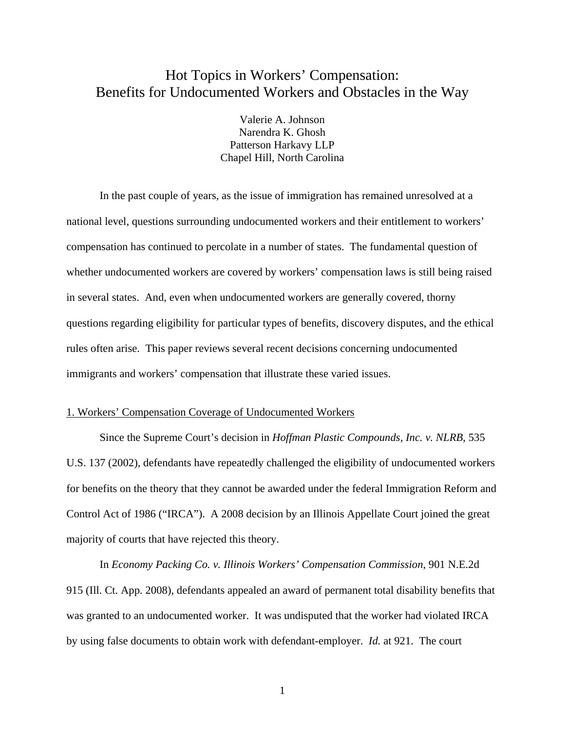# Hot Topics in Workers' Compensation: Benefits for Undocumented Workers and Obstacles in the Way

Valerie A. Johnson Narendra K. Ghosh Patterson Harkavy LLP Chapel Hill, North Carolina

 In the past couple of years, as the issue of immigration has remained unresolved at a national level, questions surrounding undocumented workers and their entitlement to workers' compensation has continued to percolate in a number of states. The fundamental question of whether undocumented workers are covered by workers' compensation laws is still being raised in several states. And, even when undocumented workers are generally covered, thorny questions regarding eligibility for particular types of benefits, discovery disputes, and the ethical rules often arise. This paper reviews several recent decisions concerning undocumented immigrants and workers' compensation that illustrate these varied issues.

### 1. Workers' Compensation Coverage of Undocumented Workers

 Since the Supreme Court's decision in *Hoffman Plastic Compounds, Inc. v. NLRB*, 535 U.S. 137 (2002), defendants have repeatedly challenged the eligibility of undocumented workers for benefits on the theory that they cannot be awarded under the federal Immigration Reform and Control Act of 1986 ("IRCA"). A 2008 decision by an Illinois Appellate Court joined the great majority of courts that have rejected this theory.

 In *Economy Packing Co. v. Illinois Workers' Compensation Commission*, 901 N.E.2d 915 (Ill. Ct. App. 2008), defendants appealed an award of permanent total disability benefits that was granted to an undocumented worker. It was undisputed that the worker had violated IRCA by using false documents to obtain work with defendant-employer. *Id.* at 921. The court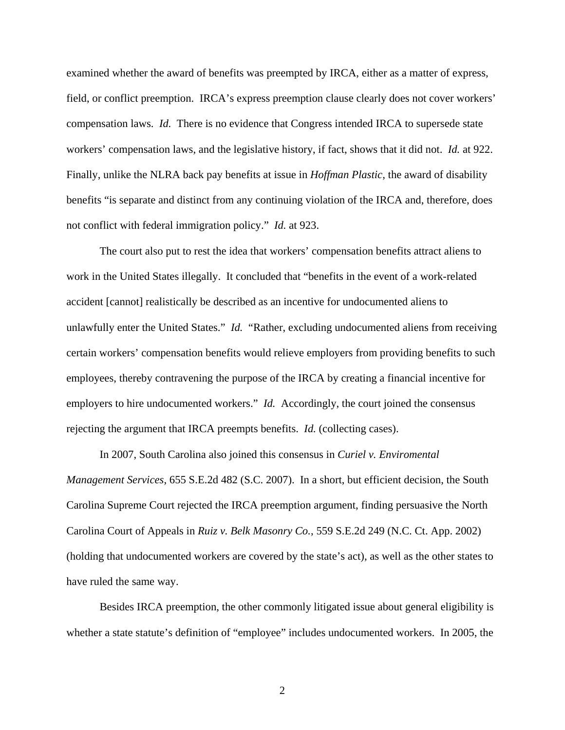examined whether the award of benefits was preempted by IRCA, either as a matter of express, field, or conflict preemption. IRCA's express preemption clause clearly does not cover workers' compensation laws. *Id.* There is no evidence that Congress intended IRCA to supersede state workers' compensation laws, and the legislative history, if fact, shows that it did not. *Id.* at 922. Finally, unlike the NLRA back pay benefits at issue in *Hoffman Plastic*, the award of disability benefits "is separate and distinct from any continuing violation of the IRCA and, therefore, does not conflict with federal immigration policy." *Id.* at 923.

 The court also put to rest the idea that workers' compensation benefits attract aliens to work in the United States illegally. It concluded that "benefits in the event of a work-related accident [cannot] realistically be described as an incentive for undocumented aliens to unlawfully enter the United States." *Id.* "Rather, excluding undocumented aliens from receiving certain workers' compensation benefits would relieve employers from providing benefits to such employees, thereby contravening the purpose of the IRCA by creating a financial incentive for employers to hire undocumented workers." *Id.* Accordingly, the court joined the consensus rejecting the argument that IRCA preempts benefits. *Id.* (collecting cases).

 In 2007, South Carolina also joined this consensus in *Curiel v. Enviromental Management Services*, 655 S.E.2d 482 (S.C. 2007). In a short, but efficient decision, the South Carolina Supreme Court rejected the IRCA preemption argument, finding persuasive the North Carolina Court of Appeals in *Ruiz v. Belk Masonry Co.*, 559 S.E.2d 249 (N.C. Ct. App. 2002) (holding that undocumented workers are covered by the state's act), as well as the other states to have ruled the same way.

 Besides IRCA preemption, the other commonly litigated issue about general eligibility is whether a state statute's definition of "employee" includes undocumented workers. In 2005, the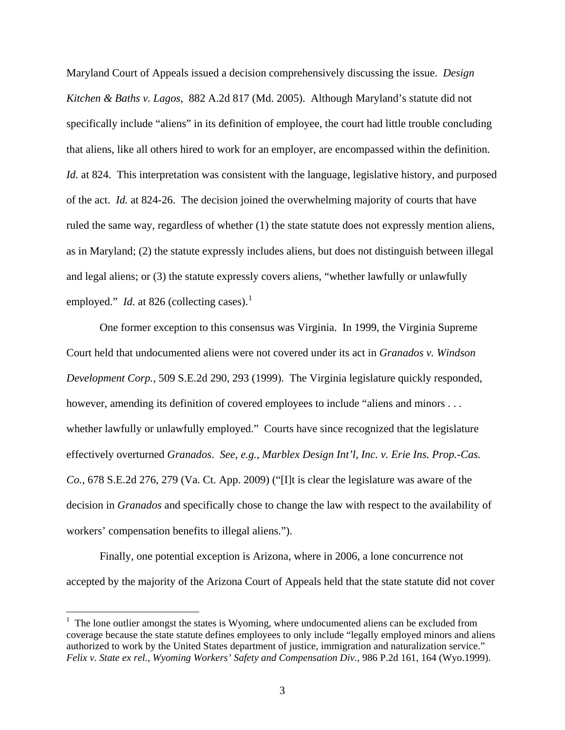Maryland Court of Appeals issued a decision comprehensively discussing the issue. *Design Kitchen & Baths v. Lagos*, 882 A.2d 817 (Md. 2005). Although Maryland's statute did not specifically include "aliens" in its definition of employee, the court had little trouble concluding that aliens, like all others hired to work for an employer, are encompassed within the definition. *Id.* at 824. This interpretation was consistent with the language, legislative history, and purposed of the act. *Id.* at 824-26. The decision joined the overwhelming majority of courts that have ruled the same way, regardless of whether (1) the state statute does not expressly mention aliens, as in Maryland; (2) the statute expressly includes aliens, but does not distinguish between illegal and legal aliens; or (3) the statute expressly covers aliens, "whether lawfully or unlawfully employed." *Id.* at 826 (collecting cases).<sup>[1](#page-2-0)</sup>

 One former exception to this consensus was Virginia. In 1999, the Virginia Supreme Court held that undocumented aliens were not covered under its act in *Granados v. Windson Development Corp.*, 509 S.E.2d 290, 293 (1999). The Virginia legislature quickly responded, however, amending its definition of covered employees to include "aliens and minors . . . whether lawfully or unlawfully employed." Courts have since recognized that the legislature effectively overturned *Granados*. *See, e.g.*, *Marblex Design Int'l, Inc. v. Erie Ins. Prop.-Cas. Co.*, 678 S.E.2d 276, 279 (Va. Ct. App. 2009) ("[I]t is clear the legislature was aware of the decision in *Granados* and specifically chose to change the law with respect to the availability of workers' compensation benefits to illegal aliens.").

 Finally, one potential exception is Arizona, where in 2006, a lone concurrence not accepted by the majority of the Arizona Court of Appeals held that the state statute did not cover

 $\overline{a}$ 

<span id="page-2-0"></span> $1$  The lone outlier amongst the states is Wyoming, where undocumented aliens can be excluded from coverage because the state statute defines employees to only include "legally employed minors and aliens authorized to work by the United States department of justice, immigration and naturalization service." *Felix v. State ex rel., Wyoming Workers' Safety and Compensation Div.*, 986 P.2d 161, 164 (Wyo.1999).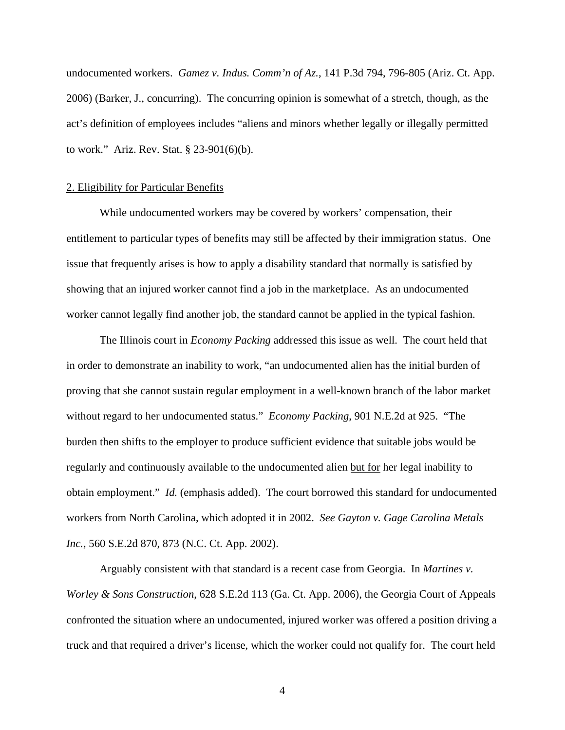undocumented workers. *Gamez v. Indus. Comm'n of Az.*, 141 P.3d 794, 796-805 (Ariz. Ct. App. 2006) (Barker, J., concurring). The concurring opinion is somewhat of a stretch, though, as the act's definition of employees includes "aliens and minors whether legally or illegally permitted to work." Ariz. Rev. Stat. § 23-901(6)(b).

#### 2. Eligibility for Particular Benefits

 While undocumented workers may be covered by workers' compensation, their entitlement to particular types of benefits may still be affected by their immigration status. One issue that frequently arises is how to apply a disability standard that normally is satisfied by showing that an injured worker cannot find a job in the marketplace. As an undocumented worker cannot legally find another job, the standard cannot be applied in the typical fashion.

 The Illinois court in *Economy Packing* addressed this issue as well. The court held that in order to demonstrate an inability to work, "an undocumented alien has the initial burden of proving that she cannot sustain regular employment in a well-known branch of the labor market without regard to her undocumented status." *Economy Packing*, 901 N.E.2d at 925. "The burden then shifts to the employer to produce sufficient evidence that suitable jobs would be regularly and continuously available to the undocumented alien but for her legal inability to obtain employment." *Id.* (emphasis added). The court borrowed this standard for undocumented workers from North Carolina, which adopted it in 2002. *See Gayton v. Gage Carolina Metals Inc.*, 560 S.E.2d 870, 873 (N.C. Ct. App. 2002).

 Arguably consistent with that standard is a recent case from Georgia. In *Martines v. Worley & Sons Construction*, 628 S.E.2d 113 (Ga. Ct. App. 2006), the Georgia Court of Appeals confronted the situation where an undocumented, injured worker was offered a position driving a truck and that required a driver's license, which the worker could not qualify for. The court held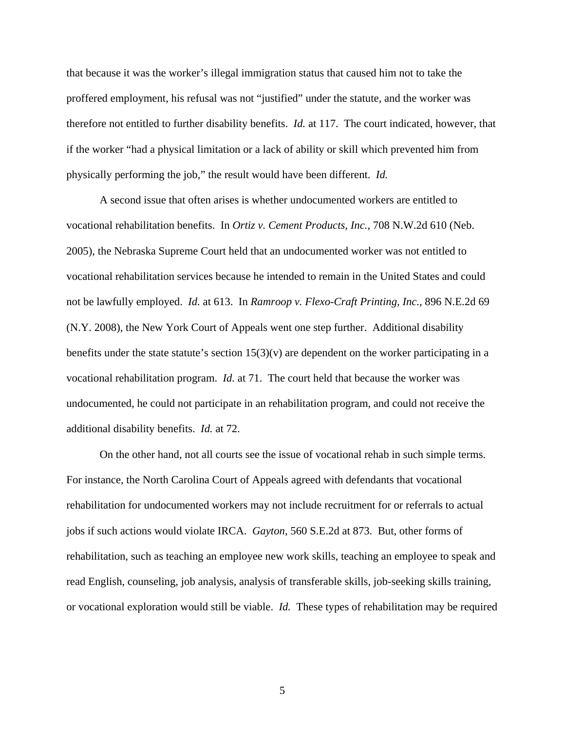that because it was the worker's illegal immigration status that caused him not to take the proffered employment, his refusal was not "justified" under the statute, and the worker was therefore not entitled to further disability benefits. *Id.* at 117. The court indicated, however, that if the worker "had a physical limitation or a lack of ability or skill which prevented him from physically performing the job," the result would have been different. *Id.*

 A second issue that often arises is whether undocumented workers are entitled to vocational rehabilitation benefits. In *Ortiz v. Cement Products, Inc.*, 708 N.W.2d 610 (Neb. 2005), the Nebraska Supreme Court held that an undocumented worker was not entitled to vocational rehabilitation services because he intended to remain in the United States and could not be lawfully employed. *Id.* at 613. In *Ramroop v. Flexo-Craft Printing, Inc.*, 896 N.E.2d 69 (N.Y. 2008), the New York Court of Appeals went one step further. Additional disability benefits under the state statute's section  $15(3)(v)$  are dependent on the worker participating in a vocational rehabilitation program. *Id.* at 71. The court held that because the worker was undocumented, he could not participate in an rehabilitation program, and could not receive the additional disability benefits. *Id.* at 72.

 On the other hand, not all courts see the issue of vocational rehab in such simple terms. For instance, the North Carolina Court of Appeals agreed with defendants that vocational rehabilitation for undocumented workers may not include recruitment for or referrals to actual jobs if such actions would violate IRCA. *Gayton*, 560 S.E.2d at 873. But, other forms of rehabilitation, such as teaching an employee new work skills, teaching an employee to speak and read English, counseling, job analysis, analysis of transferable skills, job-seeking skills training, or vocational exploration would still be viable. *Id.* These types of rehabilitation may be required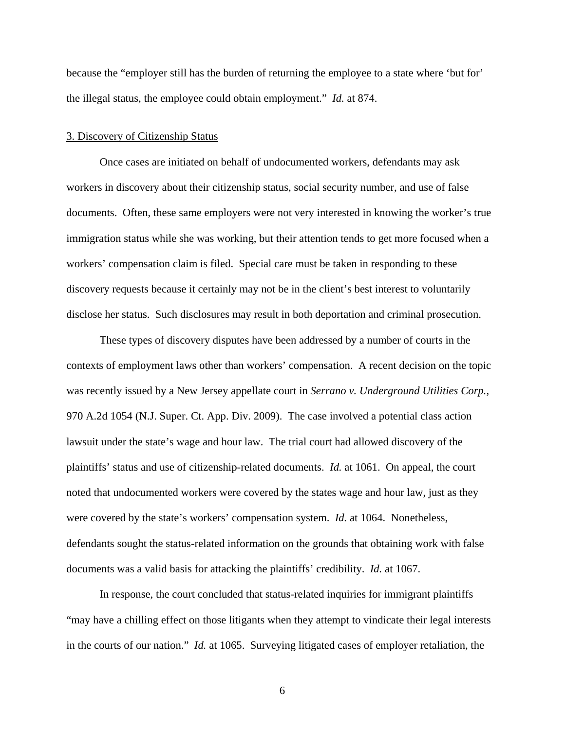because the "employer still has the burden of returning the employee to a state where 'but for' the illegal status, the employee could obtain employment." *Id.* at 874.

#### 3. Discovery of Citizenship Status

 Once cases are initiated on behalf of undocumented workers, defendants may ask workers in discovery about their citizenship status, social security number, and use of false documents. Often, these same employers were not very interested in knowing the worker's true immigration status while she was working, but their attention tends to get more focused when a workers' compensation claim is filed. Special care must be taken in responding to these discovery requests because it certainly may not be in the client's best interest to voluntarily disclose her status. Such disclosures may result in both deportation and criminal prosecution.

 These types of discovery disputes have been addressed by a number of courts in the contexts of employment laws other than workers' compensation. A recent decision on the topic was recently issued by a New Jersey appellate court in *Serrano v. Underground Utilities Corp.*, 970 A.2d 1054 (N.J. Super. Ct. App. Div. 2009). The case involved a potential class action lawsuit under the state's wage and hour law. The trial court had allowed discovery of the plaintiffs' status and use of citizenship-related documents. *Id.* at 1061. On appeal, the court noted that undocumented workers were covered by the states wage and hour law, just as they were covered by the state's workers' compensation system. *Id.* at 1064. Nonetheless, defendants sought the status-related information on the grounds that obtaining work with false documents was a valid basis for attacking the plaintiffs' credibility. *Id.* at 1067.

 In response, the court concluded that status-related inquiries for immigrant plaintiffs "may have a chilling effect on those litigants when they attempt to vindicate their legal interests in the courts of our nation." *Id.* at 1065. Surveying litigated cases of employer retaliation, the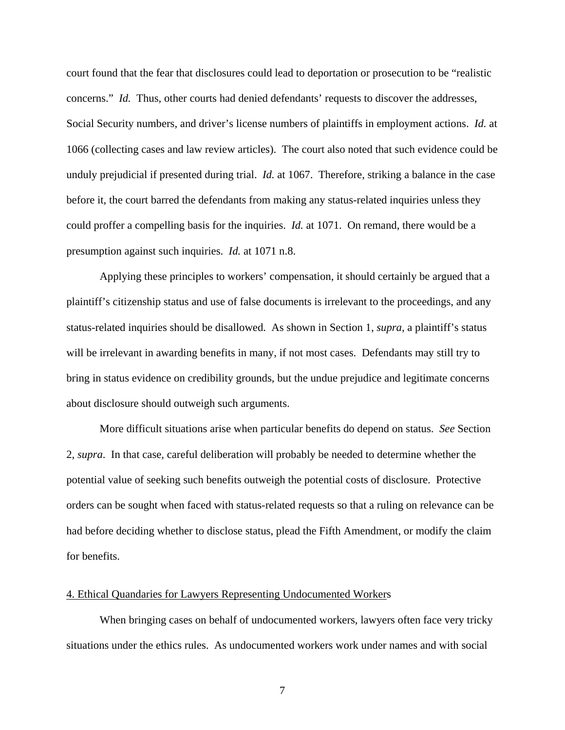court found that the fear that disclosures could lead to deportation or prosecution to be "realistic concerns." *Id.* Thus, other courts had denied defendants' requests to discover the addresses, Social Security numbers, and driver's license numbers of plaintiffs in employment actions. *Id.* at 1066 (collecting cases and law review articles). The court also noted that such evidence could be unduly prejudicial if presented during trial. *Id.* at 1067. Therefore, striking a balance in the case before it, the court barred the defendants from making any status-related inquiries unless they could proffer a compelling basis for the inquiries. *Id.* at 1071. On remand, there would be a presumption against such inquiries. *Id.* at 1071 n.8.

 Applying these principles to workers' compensation, it should certainly be argued that a plaintiff's citizenship status and use of false documents is irrelevant to the proceedings, and any status-related inquiries should be disallowed. As shown in Section 1, *supra*, a plaintiff's status will be irrelevant in awarding benefits in many, if not most cases. Defendants may still try to bring in status evidence on credibility grounds, but the undue prejudice and legitimate concerns about disclosure should outweigh such arguments.

 More difficult situations arise when particular benefits do depend on status. *See* Section 2, *supra*. In that case, careful deliberation will probably be needed to determine whether the potential value of seeking such benefits outweigh the potential costs of disclosure. Protective orders can be sought when faced with status-related requests so that a ruling on relevance can be had before deciding whether to disclose status, plead the Fifth Amendment, or modify the claim for benefits.

#### 4. Ethical Quandaries for Lawyers Representing Undocumented Workers

 When bringing cases on behalf of undocumented workers, lawyers often face very tricky situations under the ethics rules. As undocumented workers work under names and with social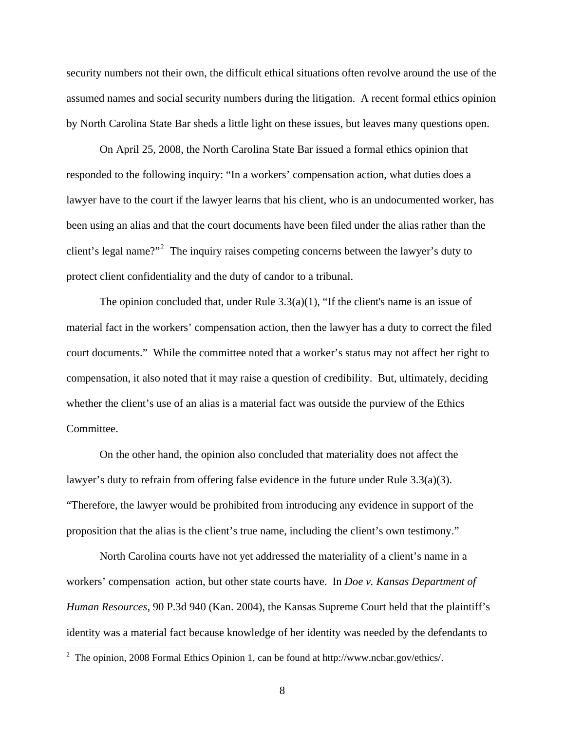security numbers not their own, the difficult ethical situations often revolve around the use of the assumed names and social security numbers during the litigation. A recent formal ethics opinion by North Carolina State Bar sheds a little light on these issues, but leaves many questions open.

 On April 25, 2008, the North Carolina State Bar issued a formal ethics opinion that responded to the following inquiry: "In a workers' compensation action, what duties does a lawyer have to the court if the lawyer learns that his client, who is an undocumented worker, has been using an alias and that the court documents have been filed under the alias rather than the client's legal name?"<sup>[2](#page-7-0)</sup> The inquiry raises competing concerns between the lawyer's duty to protect client confidentiality and the duty of candor to a tribunal.

 The opinion concluded that, under Rule 3.3(a)(1), "If the client's name is an issue of material fact in the workers' compensation action, then the lawyer has a duty to correct the filed court documents." While the committee noted that a worker's status may not affect her right to compensation, it also noted that it may raise a question of credibility. But, ultimately, deciding whether the client's use of an alias is a material fact was outside the purview of the Ethics Committee.

 On the other hand, the opinion also concluded that materiality does not affect the lawyer's duty to refrain from offering false evidence in the future under Rule 3.3(a)(3). "Therefore, the lawyer would be prohibited from introducing any evidence in support of the proposition that the alias is the client's true name, including the client's own testimony."

 North Carolina courts have not yet addressed the materiality of a client's name in a workers' compensation action, but other state courts have. In *Doe v. Kansas Department of Human Resources*, 90 P.3d 940 (Kan. 2004), the Kansas Supreme Court held that the plaintiff's identity was a material fact because knowledge of her identity was needed by the defendants to

<span id="page-7-0"></span><sup>&</sup>lt;sup>2</sup> The opinion, 2008 Formal Ethics Opinion 1, can be found at http://www.ncbar.gov/ethics/.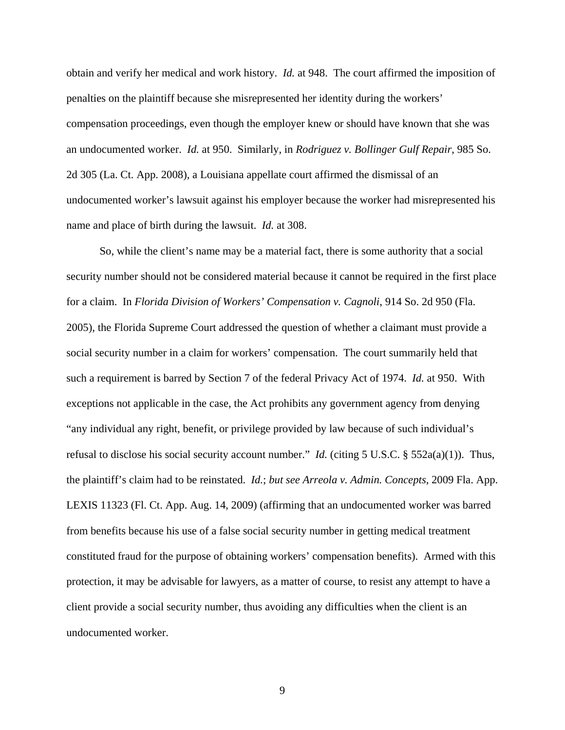obtain and verify her medical and work history. *Id.* at 948. The court affirmed the imposition of penalties on the plaintiff because she misrepresented her identity during the workers' compensation proceedings, even though the employer knew or should have known that she was an undocumented worker. *Id.* at 950. Similarly, in *Rodriguez v. Bollinger Gulf Repair*, 985 So. 2d 305 (La. Ct. App. 2008), a Louisiana appellate court affirmed the dismissal of an undocumented worker's lawsuit against his employer because the worker had misrepresented his name and place of birth during the lawsuit. *Id.* at 308.

 So, while the client's name may be a material fact, there is some authority that a social security number should not be considered material because it cannot be required in the first place for a claim. In *Florida Division of Workers' Compensation v. Cagnoli*, 914 So. 2d 950 (Fla. 2005), the Florida Supreme Court addressed the question of whether a claimant must provide a social security number in a claim for workers' compensation. The court summarily held that such a requirement is barred by Section 7 of the federal Privacy Act of 1974. *Id.* at 950. With exceptions not applicable in the case, the Act prohibits any government agency from denying "any individual any right, benefit, or privilege provided by law because of such individual's refusal to disclose his social security account number." *Id.* (citing 5 U.S.C. § 552a(a)(1)). Thus, the plaintiff's claim had to be reinstated. *Id.*; *but see Arreola v. Admin. Concepts*, 2009 Fla. App. LEXIS 11323 (Fl. Ct. App. Aug. 14, 2009) (affirming that an undocumented worker was barred from benefits because his use of a false social security number in getting medical treatment constituted fraud for the purpose of obtaining workers' compensation benefits). Armed with this protection, it may be advisable for lawyers, as a matter of course, to resist any attempt to have a client provide a social security number, thus avoiding any difficulties when the client is an undocumented worker.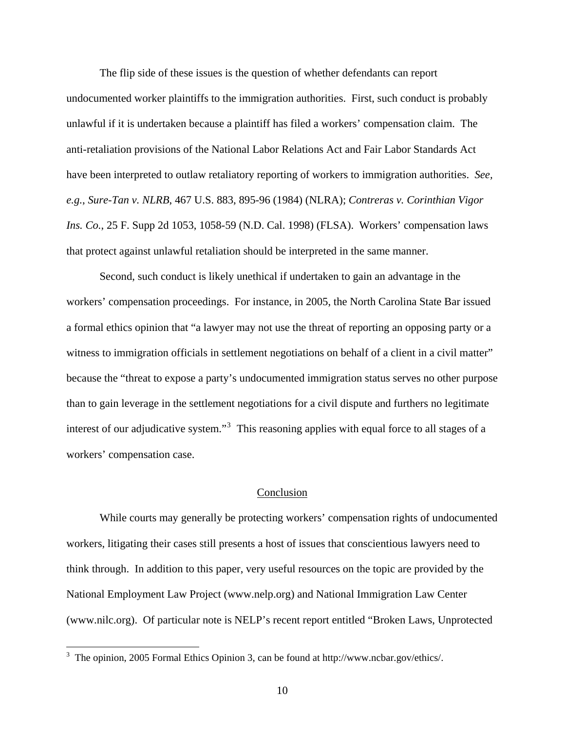The flip side of these issues is the question of whether defendants can report undocumented worker plaintiffs to the immigration authorities. First, such conduct is probably unlawful if it is undertaken because a plaintiff has filed a workers' compensation claim. The anti-retaliation provisions of the National Labor Relations Act and Fair Labor Standards Act have been interpreted to outlaw retaliatory reporting of workers to immigration authorities. *See, e.g.*, *Sure-Tan v. NLRB*, 467 U.S. 883, 895-96 (1984) (NLRA); *Contreras v. Corinthian Vigor Ins. Co.*, 25 F. Supp 2d 1053, 1058-59 (N.D. Cal. 1998) (FLSA). Workers' compensation laws that protect against unlawful retaliation should be interpreted in the same manner.

 Second, such conduct is likely unethical if undertaken to gain an advantage in the workers' compensation proceedings. For instance, in 2005, the North Carolina State Bar issued a formal ethics opinion that "a lawyer may not use the threat of reporting an opposing party or a witness to immigration officials in settlement negotiations on behalf of a client in a civil matter" because the "threat to expose a party's undocumented immigration status serves no other purpose than to gain leverage in the settlement negotiations for a civil dispute and furthers no legitimate interest of our adjudicative system."<sup>[3](#page-9-0)</sup> This reasoning applies with equal force to all stages of a workers' compensation case.

## Conclusion

 While courts may generally be protecting workers' compensation rights of undocumented workers, litigating their cases still presents a host of issues that conscientious lawyers need to think through. In addition to this paper, very useful resources on the topic are provided by the National Employment Law Project (www.nelp.org) and National Immigration Law Center (www.nilc.org). Of particular note is NELP's recent report entitled "Broken Laws, Unprotected

<span id="page-9-0"></span><sup>&</sup>lt;sup>3</sup> The opinion, 2005 Formal Ethics Opinion 3, can be found at http://www.ncbar.gov/ethics/.